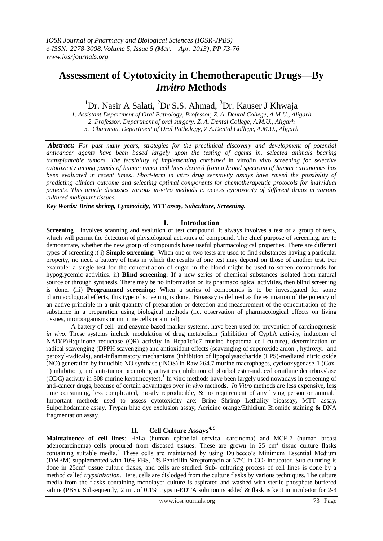# **Assessment of Cytotoxicity in Chemotherapeutic Drugs—By** *Invitro* **Methods**

<sup>1</sup>Dr. Nasir A Salati, <sup>2</sup>Dr S.S. Ahmad, <sup>3</sup>Dr. Kauser J Khwaja

*1. Assistant Department of Oral Pathology, Professor, Z. A .Dental College, A.M.U., Aligarh 2. Professor, Department of oral surgery, Z. A. Dental College, A.M.U., Aligarh 3. Chairman, Department of Oral Pathology, Z.A.Dental College, A.M.U., Aligarh*

*Abstract: For past many years, strategies for the preclinical discovery and development of potential anticancer agents have been based largely upon the testing of agents in. selected animals bearing transplantable tumors. The feasibility of implementing combined* in vitro/in vivo *screening for selective cytotoxicity among panels of human tumor cell lines derived from a broad spectrum of human carcinomas has been evaluated in recent times.. Short-term in vitro drug sensitivity assays have raised the possibility of predicting clinical outcome and selecting optimal components for chemotherapeutic protocols for individual patients. This article discusses various in-vitro methods to access cytotoxicity of different drugs in various cultured malignant tissues.*

*Key Words: Brine shrimp, Cytotoxicity, MTT assay, Subculture, Screening.*

# **I. Introduction**

**Screening** involves scanning and evalution of test compound. It always involves a test or a group of tests, which will permit the detection of physiological activities of compound. The chief purpose of screening, are to demonstrate, whether the new group of compounds have useful pharmacological properties. There are different types of screening :( i) **Simple screening:** When one or two tests are used to find substances having a particular property, no need a battery of tests in which the results of one test may depend on those of another test. For example: a single test for the concentration of sugar in the blood might be used to screen compounds for hypoglycemic activities. ii) **Blind screening: I**f a new series of chemical substances isolated from natural source or through synthesis. There may be no information on its pharmacological activities, then blind screening is done. **(**iii) **Programmed screening:** When a series of compounds is to be investigated for some pharmacological effects, this type of screening is done. Bioassay is defined as the estimation of the potency of an active principle in a unit quantity of preparation or detection and measurement of the concentration of the substance in a preparation using biological methods (i.e. observation of pharmacological effects on living tissues, microorganisms or immune cells or animal).

A battery of cell- and enzyme-based marker systems, have been used for prevention of carcinogenesis *in vivo*. These systems include modulation of drug metabolism (inhibition of Cyp1A activity, induction of NAD(P)H:quinone reductase (QR) activity in Hepa1c1c7 murine hepatoma cell culture), determination of radical scavenging (DPPH scavenging) and antioxidant effects (scavenging of superoxide anion-, hydroxyl- and peroxyl-radicals), anti-inflammatory mechanisms (inhibition of lipopolysaccharide (LPS)-mediated nitric oxide (NO) generation by inducible NO synthase (iNOS) in Raw 264.7 murine macrophages, cyclooxygenase-1 (Cox-1) inhibition), and anti-tumor promoting activities (inhibition of phorbol ester-induced ornithine decarboxylase (ODC) activity in 308 murine keratinocytes).<sup>1</sup> In vitro methods have been largely used nowadays in screening of anti-cancer drugs, because of certain advantages over *in vivo* methods. *In Vitro* methods are less expensive, less time consuming, less complicated, mostly reproducible, & no requirement of any living person or animal.<sup>2</sup> Important methods used to assess cytotoxicity are: Brine Shrimp Lethality bioassay**,** MTT assay**,**  Sulporhodamine assay**,** Trypan blue dye exclusion assay**,** Acridine orange/Ethidium Bromide staining **&** DNA fragmentation assay.

## **II. Cell Culture Assays4, 5**

**Maintainence of cell lines***:* HeLa (human epithelial cervical carcinoma) and MCF-7 (human breast adenocarcinoma) cells procured from diseased tissues. These are grown in  $25 \text{ cm}^2$  tissue culture flasks containing suitable media.<sup>3</sup> These cells are maintained by using Dulbecco's Minimum Essential Medium (DMEM) supplemented with 10% FBS, 1% Penicillin Streptomycin at 37°C in  $CO_2$  incubator. Sub culturing is done in 25cm<sup>2</sup> tissue culture flasks, and cells are studied. Sub- culturing process of cell lines is done by a method called *trypsinization*. Here, cells are dislodged from the culture flasks by various techniques. The culture media from the flasks containing monolayer culture is aspirated and washed with sterile phosphate buffered saline (PBS). Subsequently, 2 mL of 0.1% trypsin-EDTA solution is added & flask is kept in incubator for 2-3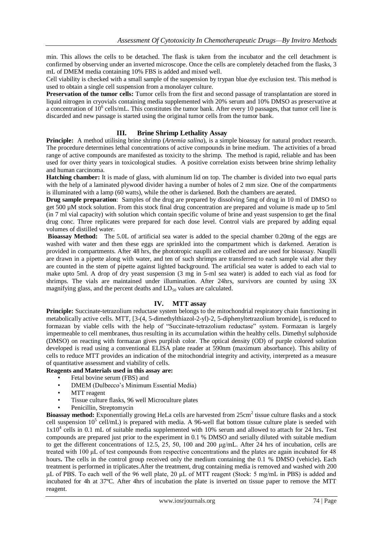min. This allows the cells to be detached. The flask is taken from the incubator and the cell detachment is confirmed by observing under an inverted microscope. Once the cells are completely detached from the flasks, 3 mL of DMEM media containing 10% FBS is added and mixed well.

Cell viability is checked with a small sample of the suspension by trypan blue dye exclusion test. This method is used to obtain a single cell suspension from a monolayer culture.

**Preservation of the tumor cells:** Tumor cells from the first and second passage of transplantation are stored in liquid nitrogen in cryovials containing media supplemented with 20% serum and 10% DMSO as preservative at a concentration of 10<sup>6</sup> cells/mL. This constitutes the tumor bank. After every 10 passages, that tumor cell line is discarded and new passage is started using the original tumor cells from the tumor bank.

# **III. Brine Shrimp Lethality Assay**

**Principle:** A method utilising brine shrimp (*Artemia salina*), is a simple bioassay for natural product research. The procedure determines lethal concentrations of active compounds in brine medium. The activities of a broad range of active compounds are manifested as toxicity to the shrimp. The method is rapid, reliable and has been used for over thirty years in toxicological studies. A positive correlation exists between brine shrimp lethality and human carcinoma.

**Hatching chamber:** It is made of glass, with aluminum lid on top. The chamber is divided into two equal parts with the help of a laminated plywood divider having a number of holes of 2 mm size. One of the compartments is illuminated with a lamp (60 watts), while the other is darkened. Both the chambers are aerated.

**Drug sample preparation**:Samples of the drug are prepared by dissolving 5mg of drug in 10 ml of DMSO to get 500 µM stock solution. From this stock final drug concentration are prepared and volume is made up to 5ml (in 7 ml vial capacity) with solution which contain specific volume of brine and yeast suspension to get the final drug conc. Three replicates were prepared for each dose level. Control vials are prepared by adding equal volumes of distilled water.

**Bioassay Method:** The 5.0L of artificial sea water is added to the special chamber 0.20mg of the eggs are washed with water and then these eggs are sprinkled into the compartment which is darkened. Aeration is provided in compartments. After 48 hrs, the phototropic nauplli are collected and are used for bioassay. Nauplli are drawn in a pipette along with water, and ten of such shrimps are transferred to each sample vial after they are counted in the stem of pipette against lighted background. The artificial sea water is added to each vial to make upto 5ml. A drop of dry yeast suspension (3 mg in 5-ml sea water) is added to each vial as food for shrimps. The vials are maintained under illumination. After 24hrs, survivors are counted by using 3X magnifying glass, and the percent deaths and  $LD_{50}$  values are calculated.

## **IV. MTT assay**

**Principle:** Succinate-tetrazolium reductase system belongs to the mitochondrial respiratory chain functioning in metabolically active cells. MTT, [3-(4, 5-dimethylthiazol-2-yl)-2, 5-diphenyltetrazolium bromide], is reduced to formazan by viable cells with the help of "Succinate-tetrazolium reductase" system. Formazan is largely impermeable to cell membranes, thus resulting in its accumulation within the healthy cells. Dimethyl sulphoxide (DMSO) on reacting with formazan gives purplish color. The optical density (OD) of purple colored solution developed is read using a conventional ELISA plate reader at 590nm (maximum absorbance). This ability of cells to reduce MTT provides an indication of the mitochondrial integrity and activity, interpreted as a measure of quantitative assessment and viability of cells.

# **Reagents and Materials used in this assay are:**

- Fetal bovine serum (FBS) and
- DMEM (Dulbecco's Minimum Essential Media)
- MTT reagent
- Tissue culture flasks, 96 well Microculture plates
- Penicillin, Streptomycin

Bioassay method: Exponentially growing HeLa cells are harvested from 25cm<sup>2</sup> tissue culture flasks and a stock cell suspension  $10^5$  cell/mL) is prepared with media. A 96-well flat bottom tissue culture plate is seeded with 1x10<sup>4</sup> cells in 0.1 mL of suitable media supplemented with 10% serum and allowed to attach for 24 hrs**.** Test compounds are prepared just prior to the experiment in 0.1 % DMSO and serially diluted with suitable medium to get the different concentrations of 12.5, 25, 50, 100 and 200 μg/mL. After 24 hrs of incubation, cells are treated with 100 μL of test compounds from respective concentrations and the plates are again incubated for 48 hours**.** The cells in the control group received only the medium containing the 0.1 % DMSO (vehicle)**.** Each treatment is performed in triplicates.After the treatment, drug containing media is removed and washed with 200 μL of PBS. To each well of the 96 well plate, 20 μL of MTT reagent (Stock: 5 mg/mL in PBS) is added and incubated for 4h at 37ºC. After 4hrs of incubation the plate is inverted on tissue paper to remove the MTT reagent.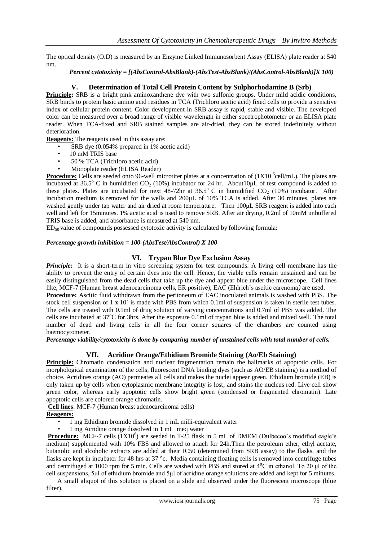The optical density (O.D) is measured by an Enzyme Linked Immunosorbent Assay (ELISA) plate reader at 540 nm.

## *Percent cytotoxicity = [(AbsControl-AbsBlank)-(AbsTest-AbsBlank)/(AbsControl-AbsBlank)]X 100)*

## **V. Determination of Total Cell Protein Content by Sulphorhodamine B (Srb)**

**Principle:** SRB is a bright pink aminoxanthene dye with two sulfonic groups. Under mild acidic conditions, SRB binds to protein basic amino acid residues in TCA (Trichloro acetic acid) fixed cells to provide a sensitive index of cellular protein content. Color development in SRB assay is rapid, stable and visible. The developed color can be measured over a broad range of visible wavelength in either spectrophotometer or an ELISA plate reader. When TCA-fixed and SRB stained samples are air-dried, they can be stored indefinitely without deterioration.

**Reagents:** The reagents used in this assay are:

- SRB dye (0.054% prepared in 1% acetic acid)
- 10 mM TRIS base
- 50 % TCA (Trichloro acetic acid)
- Microplate reader (ELISA Reader)

**Procedure:** Cells are seeded onto 96-well microtiter plates at a concentration of (1X10<sup>5</sup>cell/mL). The plates are incubated at 36.5° C in humidified  $CO_2$  (10%) incubator for 24 hr. About10µL of test compound is added to these plates. Plates are incubated for next  $48-72$ hr at  $36.5^{\circ}$  C in humidified CO<sub>2</sub> (10%) incubator. After incubation medium is removed for the wells and 200μL of 10% TCA is added. After 30 minutes, plates are washed gently under tap water and air dried at room temperature. Then 100μL SRB reagent is added into each well and left for 15minutes. 1% acetic acid is used to remove SRB. After air drying, 0.2ml of 10mM unbuffered TRIS base is added, and absorbance is measured at 540 nm.

ED50 value of compounds possessed cytotoxic activity is calculated by following formula:

#### *Percentage growth inhibition = 100-(AbsTest/AbsControl) X 100*

## **VI. Trypan Blue Dye Exclusion Assay**

*Principle:* It is a short-term in vitro screening system for test compounds. A living cell membrane has the ability to prevent the entry of certain dyes into the cell. Hence, the viable cells remain unstained and can be easily distinguished from the dead cells that take up the dye and appear blue under the microscope.Cell lines like, MCF-7 (Human breast adenocarcinoma cells, ER positive), EAC (Ehlrich's ascitic carcnoma*)* are used.

**Procedure:** Ascitic fluid withdrawn from the peritoneum of EAC inoculated animals is washed with PBS. The stock cell suspension of  $1 \times 10^7$  is made with PBS from which 0.1ml of suspension is taken in sterile test tubes. The cells are treated with 0.1ml of drug solution of varying concentrations and 0.7ml of PBS was added. The cells are incubated at  $37^{\circ}$ C for 3hrs. After the exposure 0.1ml of trypan blue is added and mixed well. The total number of dead and living cells in all the four corner squares of the chambers are counted using haemocytometer.

*Percentage viability/cytotoxicity is done by comparing number of unstained cells with total number of cells.*

# **VII. Acridine Orange/Ethidium Bromide Staining (Ao/Eb Staining)**

**Principle:** Chromatin condensation and nuclear fragmentation remain the hallmarks of apoptotic cells. For morphological examination of the cells, fluorescent DNA binding dyes (such as AO/EB staining) is a method of choice. Acridines orange (AO) permeates all cells and makes the nuclei appear green. Ethidium bromide (EB) is only taken up by cells when cytoplasmic membrane integrity is lost, and stains the nucleus red. Live cell show green color, whereas early apoptotic cells show bright green (condensed or fragmented chromatin). Late apoptotic cells are colored orange chromatin.

**Cell lines**: MCF-7 (Human breast adenocarcinoma cells)

## **Reagents:**

• 1 mg Ethidium bromide dissolved in 1 mL milli-equivalent water

• 1 mg Acridine orange dissolved in 1 mL meq water

**Procedure:** MCF-7 cells ( $\overline{1}X10^6$ ) are seeded in T-25 flask in 5 mL of DMEM (Dulbecoo's modified eagle's medium) supplemented with 10% FBS and allowed to attach for 24h.Then the petroleum ether, ethyl acetate, butanolic and alcoholic extracts are added at their IC50 (determined from SRB assay) to the flasks, and the flasks are kept in incubator for 48 hrs at 37 °c. Media containing floating cells is removed into centrifuge tubes and centrifuged at 1000 rpm for 5 min. Cells are washed with PBS and stored at  $4^{\circ}$ C in ethanol. To 20 µl of the cell suspensions, 5μl of ethidium bromide and 5μl of acridine orange solutions are added and kept for 5 minutes.

 A small aliquot of this solution is placed on a slide and observed under the fluorescent microscope (blue filter).